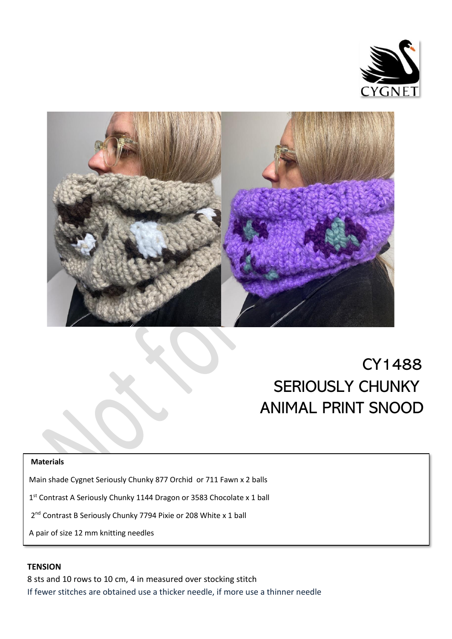



 $\overline{a}$ 

# CY1488 SERIOUSLY CHUNKY ANIMAL PRINT SNOOD

#### **Materials**

Main shade Cygnet Seriously Chunky 877 Orchid or 711 Fawn x 2 balls

1 st Contrast A Seriously Chunky 1144 Dragon or 3583 Chocolate x 1 ball

2<sup>nd</sup> Contrast B Seriously Chunky 7794 Pixie or 208 White x 1 ball

A pair of size 12 mm knitting needles

#### **TENSION**

8 sts and 10 rows to 10 cm, 4 in measured over stocking stitch If fewer stitches are obtained use a thicker needle, if more use a thinner needle